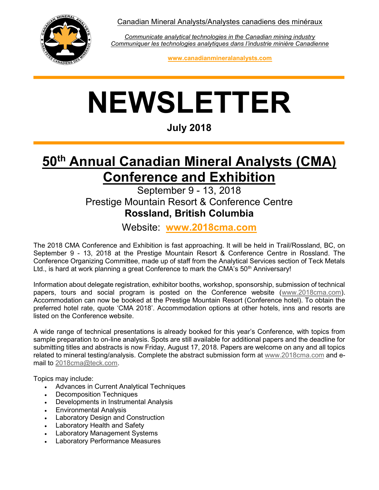Canadian Mineral Analysts/Analystes canadiens des minéraux



Communicate analytical technologies in the Canadian mining industry Communiquer les technologies analytiques dans l'industrie minière Canadienne

www.canadianmineralanalysts.com

# NEWSLETTER

July 2018

## 50<sup>th</sup> Annual Canadian Mineral Analysts (CMA) Conference and Exhibition

#### September 9 - 13, 2018 Prestige Mountain Resort & Conference Centre Rossland, British Columbia

Website: www.2018cma.com

The 2018 CMA Conference and Exhibition is fast approaching. It will be held in Trail/Rossland, BC, on September 9 - 13, 2018 at the Prestige Mountain Resort & Conference Centre in Rossland. The Conference Organizing Committee, made up of staff from the Analytical Services section of Teck Metals Ltd., is hard at work planning a great Conference to mark the CMA's  $50<sup>th</sup>$  Anniversary!

Information about delegate registration, exhibitor booths, workshop, sponsorship, submission of technical papers, tours and social program is posted on the Conference website (www.2018cma.com). Accommodation can now be booked at the Prestige Mountain Resort (Conference hotel). To obtain the preferred hotel rate, quote 'CMA 2018'. Accommodation options at other hotels, inns and resorts are listed on the Conference website.

A wide range of technical presentations is already booked for this year's Conference, with topics from sample preparation to on-line analysis. Spots are still available for additional papers and the deadline for submitting titles and abstracts is now Friday, August 17, 2018. Papers are welcome on any and all topics related to mineral testing/analysis. Complete the abstract submission form at www.2018cma.com and email to 2018cma@teck.com.

Topics may include:

- Advances in Current Analytical Techniques
- Decomposition Techniques
- Developments in Instrumental Analysis
- Environmental Analysis
- Laboratory Design and Construction
- Laboratory Health and Safety
- Laboratory Management Systems
- Laboratory Performance Measures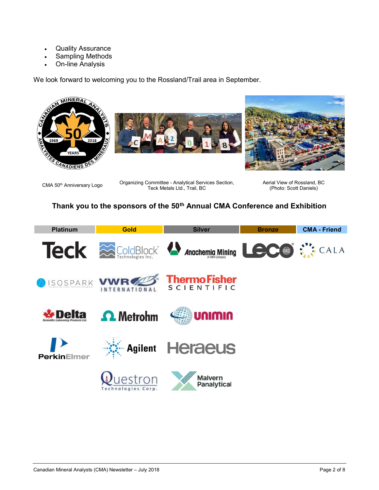- Quality Assurance
- Sampling Methods
- On-line Analysis

We look forward to welcoming you to the Rossland/Trail area in September.







CMA 50<sup>th</sup> Anniversary Logo Organizing Committee - Analytical Services Section, Teck Metals Ltd., Trail, BC

Aerial View of Rossland, BC (Photo: Scott Daniels)

#### Thank you to the sponsors of the 50<sup>th</sup> Annual CMA Conference and Exhibition

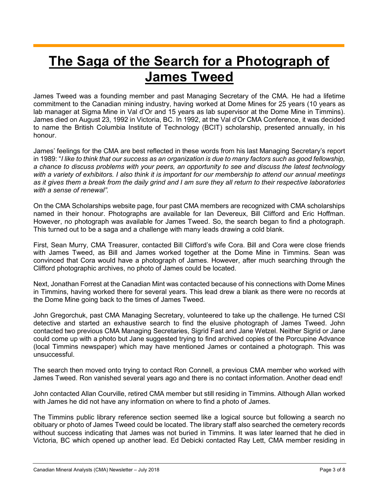## The Saga of the Search for a Photograph of James Tweed

James Tweed was a founding member and past Managing Secretary of the CMA. He had a lifetime commitment to the Canadian mining industry, having worked at Dome Mines for 25 years (10 years as lab manager at Sigma Mine in Val d'Or and 15 years as lab supervisor at the Dome Mine in Timmins). James died on August 23, 1992 in Victoria, BC. In 1992, at the Val d'Or CMA Conference, it was decided to name the British Columbia Institute of Technology (BCIT) scholarship, presented annually, in his honour.

James' feelings for the CMA are best reflected in these words from his last Managing Secretary's report in 1989: "I like to think that our success as an organization is due to many factors such as good fellowship, a chance to discuss problems with your peers, an opportunity to see and discuss the latest technology with a variety of exhibitors. I also think it is important for our membership to attend our annual meetings as it gives them a break from the daily grind and I am sure they all return to their respective laboratories with a sense of renewal".

On the CMA Scholarships website page, four past CMA members are recognized with CMA scholarships named in their honour. Photographs are available for Ian Devereux, Bill Clifford and Eric Hoffman. However, no photograph was available for James Tweed. So, the search began to find a photograph. This turned out to be a saga and a challenge with many leads drawing a cold blank.

First, Sean Murry, CMA Treasurer, contacted Bill Clifford's wife Cora. Bill and Cora were close friends with James Tweed, as Bill and James worked together at the Dome Mine in Timmins. Sean was convinced that Cora would have a photograph of James. However, after much searching through the Clifford photographic archives, no photo of James could be located.

Next, Jonathan Forrest at the Canadian Mint was contacted because of his connections with Dome Mines in Timmins, having worked there for several years. This lead drew a blank as there were no records at the Dome Mine going back to the times of James Tweed.

John Gregorchuk, past CMA Managing Secretary, volunteered to take up the challenge. He turned CSI detective and started an exhaustive search to find the elusive photograph of James Tweed. John contacted two previous CMA Managing Secretaries, Sigrid Fast and Jane Wetzel. Neither Sigrid or Jane could come up with a photo but Jane suggested trying to find archived copies of the Porcupine Advance (local Timmins newspaper) which may have mentioned James or contained a photograph. This was unsuccessful.

The search then moved onto trying to contact Ron Connell, a previous CMA member who worked with James Tweed. Ron vanished several years ago and there is no contact information. Another dead end!

John contacted Allan Courville, retired CMA member but still residing in Timmins. Although Allan worked with James he did not have any information on where to find a photo of James.

The Timmins public library reference section seemed like a logical source but following a search no obituary or photo of James Tweed could be located. The library staff also searched the cemetery records without success indicating that James was not buried in Timmins. It was later learned that he died in Victoria, BC which opened up another lead. Ed Debicki contacted Ray Lett, CMA member residing in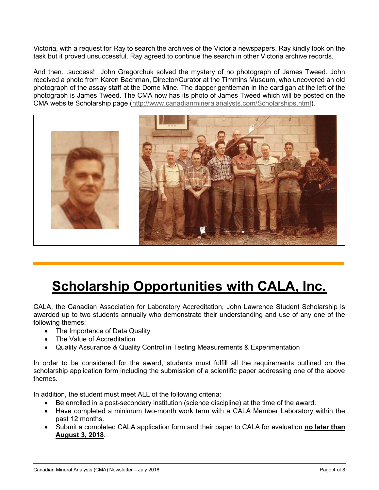Victoria, with a request for Ray to search the archives of the Victoria newspapers. Ray kindly took on the task but it proved unsuccessful. Ray agreed to continue the search in other Victoria archive records.

And then…success! John Gregorchuk solved the mystery of no photograph of James Tweed. John received a photo from Karen Bachman, Director/Curator at the Timmins Museum, who uncovered an old photograph of the assay staff at the Dome Mine. The dapper gentleman in the cardigan at the left of the photograph is James Tweed. The CMA now has its photo of James Tweed which will be posted on the CMA website Scholarship page (http://www.canadianmineralanalysts.com/Scholarships.html).



# Scholarship Opportunities with CALA, Inc.

CALA, the Canadian Association for Laboratory Accreditation, John Lawrence Student Scholarship is awarded up to two students annually who demonstrate their understanding and use of any one of the following themes:

- The Importance of Data Quality
- The Value of Accreditation
- Quality Assurance & Quality Control in Testing Measurements & Experimentation

In order to be considered for the award, students must fulfill all the requirements outlined on the scholarship application form including the submission of a scientific paper addressing one of the above themes.

In addition, the student must meet ALL of the following criteria:

- Be enrolled in a post-secondary institution (science discipline) at the time of the award.
- Have completed a minimum two-month work term with a CALA Member Laboratory within the past 12 months.
- Submit a completed CALA application form and their paper to CALA for evaluation no later than August 3, 2018.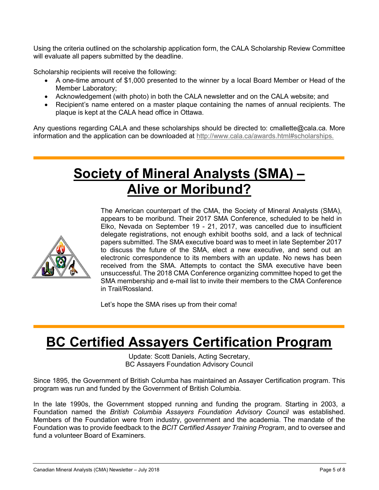Using the criteria outlined on the scholarship application form, the CALA Scholarship Review Committee will evaluate all papers submitted by the deadline.

Scholarship recipients will receive the following:

- A one-time amount of \$1,000 presented to the winner by a local Board Member or Head of the Member Laboratory;
- Acknowledgement (with photo) in both the CALA newsletter and on the CALA website; and
- Recipient's name entered on a master plaque containing the names of annual recipients. The plaque is kept at the CALA head office in Ottawa.

Any questions regarding CALA and these scholarships should be directed to: cmallette@cala.ca. More information and the application can be downloaded at http://www.cala.ca/awards.html#scholarships.

## Society of Mineral Analysts (SMA) – Alive or Moribund?



The American counterpart of the CMA, the Society of Mineral Analysts (SMA), appears to be moribund. Their 2017 SMA Conference, scheduled to be held in Elko, Nevada on September 19 - 21, 2017, was cancelled due to insufficient delegate registrations, not enough exhibit booths sold, and a lack of technical papers submitted. The SMA executive board was to meet in late September 2017 to discuss the future of the SMA, elect a new executive, and send out an electronic correspondence to its members with an update. No news has been received from the SMA. Attempts to contact the SMA executive have been unsuccessful. The 2018 CMA Conference organizing committee hoped to get the SMA membership and e-mail list to invite their members to the CMA Conference in Trail/Rossland.

Let's hope the SMA rises up from their coma!

#### BC Certified Assayers Certification Program

Update: Scott Daniels, Acting Secretary, BC Assayers Foundation Advisory Council

Since 1895, the Government of British Columba has maintained an Assayer Certification program. This program was run and funded by the Government of British Columbia.

In the late 1990s, the Government stopped running and funding the program. Starting in 2003, a Foundation named the British Columbia Assayers Foundation Advisory Council was established. Members of the Foundation were from industry, government and the academia. The mandate of the Foundation was to provide feedback to the BCIT Certified Assayer Training Program, and to oversee and fund a volunteer Board of Examiners.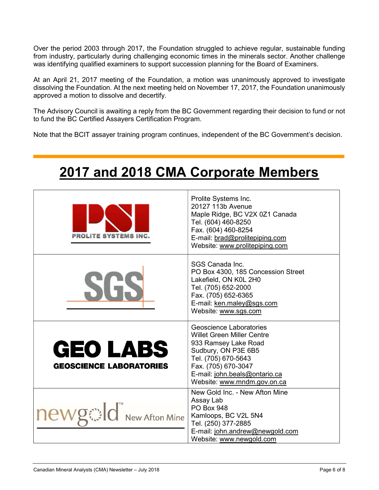Over the period 2003 through 2017, the Foundation struggled to achieve regular, sustainable funding from industry, particularly during challenging economic times in the minerals sector. Another challenge was identifying qualified examiners to support succession planning for the Board of Examiners.

At an April 21, 2017 meeting of the Foundation, a motion was unanimously approved to investigate dissolving the Foundation. At the next meeting held on November 17, 2017, the Foundation unanimously approved a motion to dissolve and decertify.

The Advisory Council is awaiting a reply from the BC Government regarding their decision to fund or not to fund the BC Certified Assayers Certification Program.

Note that the BCIT assayer training program continues, independent of the BC Government's decision.

| <b>PROLITE SYSTEMS INC.</b>                       | Prolite Systems Inc.<br>20127 113b Avenue<br>Maple Ridge, BC V2X 0Z1 Canada<br>Tel. (604) 460-8250<br>Fax. (604) 460-8254<br>E-mail: brad@prolitepiping.com<br>Website: www.prolitepiping.com                             |
|---------------------------------------------------|---------------------------------------------------------------------------------------------------------------------------------------------------------------------------------------------------------------------------|
| Sli                                               | SGS Canada Inc.<br>PO Box 4300, 185 Concession Street<br>Lakefield, ON K0L 2H0<br>Tel. (705) 652-2000<br>Fax. (705) 652-6365<br>E-mail: ken.maley@sgs.com<br>Website: www.sgs.com                                         |
| <b>GEO LABS</b><br><b>GEOSCIENCE LABORATORIES</b> | Geoscience Laboratories<br><b>Willet Green Miller Centre</b><br>933 Ramsey Lake Road<br>Sudbury, ON P3E 6B5<br>Tel. (705) 670-5643<br>Fax. (705) 670-3047<br>E-mail: john.beals@ontario.ca<br>Website: www.mndm.gov.on.ca |
| newgald New Afton Mine                            | New Gold Inc. - New Afton Mine<br>Assay Lab<br><b>PO Box 948</b><br>Kamloops, BC V2L 5N4<br>Tel. (250) 377-2885<br>E-mail: john.andrew@newgold.com<br>Website: www.newgold.com                                            |

# 2017 and 2018 CMA Corporate Members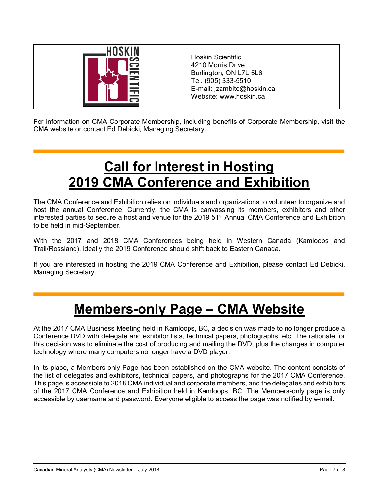

Hoskin Scientific 4210 Morris Drive Burlington, ON L7L 5L6 Tel. (905) 333-5510 E-mail: jzambito@hoskin.ca Website: www.hoskin.ca

For information on CMA Corporate Membership, including benefits of Corporate Membership, visit the CMA website or contact Ed Debicki, Managing Secretary.

# Call for Interest in Hosting 2019 CMA Conference and Exhibition

The CMA Conference and Exhibition relies on individuals and organizations to volunteer to organize and host the annual Conference. Currently, the CMA is canvassing its members, exhibitors and other interested parties to secure a host and venue for the 2019 51<sup>st</sup> Annual CMA Conference and Exhibition to be held in mid-September.

With the 2017 and 2018 CMA Conferences being held in Western Canada (Kamloops and Trail/Rossland), ideally the 2019 Conference should shift back to Eastern Canada.

If you are interested in hosting the 2019 CMA Conference and Exhibition, please contact Ed Debicki, Managing Secretary.

# Members-only Page – CMA Website

At the 2017 CMA Business Meeting held in Kamloops, BC, a decision was made to no longer produce a Conference DVD with delegate and exhibitor lists, technical papers, photographs, etc. The rationale for this decision was to eliminate the cost of producing and mailing the DVD, plus the changes in computer technology where many computers no longer have a DVD player.

In its place, a Members-only Page has been established on the CMA website. The content consists of the list of delegates and exhibitors, technical papers, and photographs for the 2017 CMA Conference. This page is accessible to 2018 CMA individual and corporate members, and the delegates and exhibitors of the 2017 CMA Conference and Exhibition held in Kamloops, BC. The Members-only page is only accessible by username and password. Everyone eligible to access the page was notified by e-mail.

Ξ